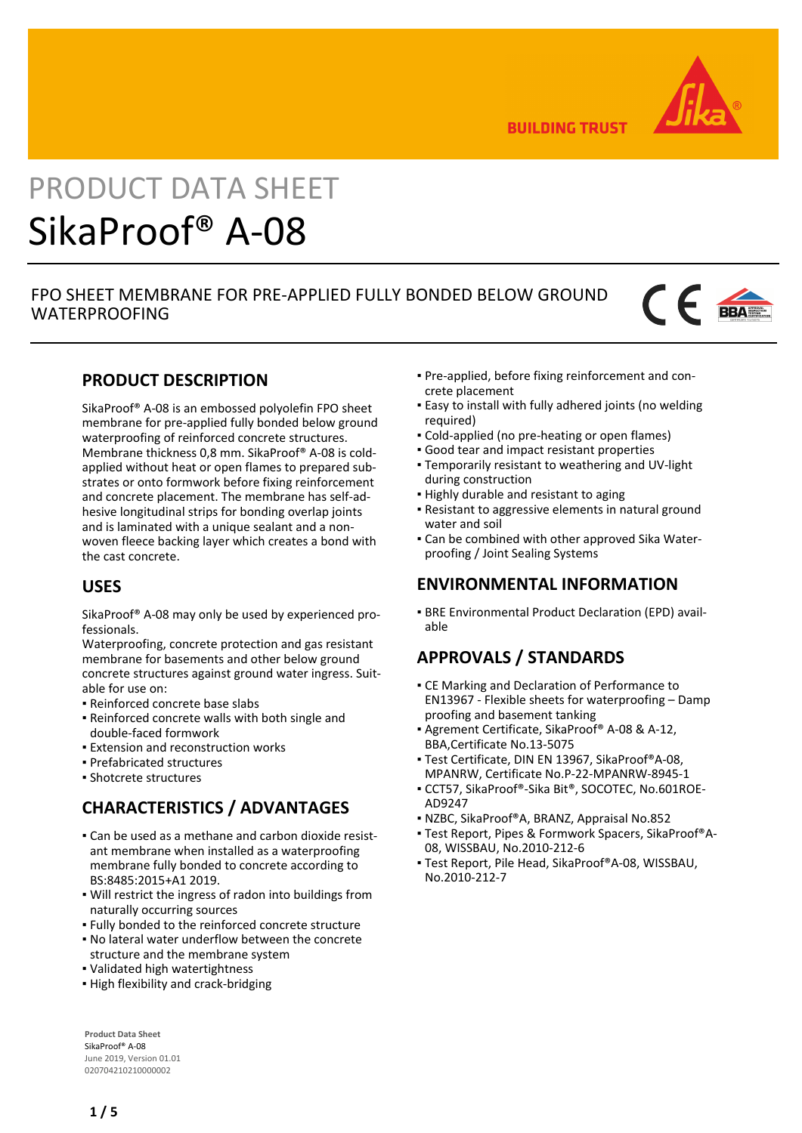

**BUILDING TRUST** 

# PRODUCT DATA SHEET SikaProof® A-08

# FPO SHEET MEMBRANE FOR PRE-APPLIED FULLY BONDED BELOW GROUND WATERPROOFING



# **PRODUCT DESCRIPTION**

SikaProof® A-08 is an embossed polyolefin FPO sheet membrane for pre-applied fully bonded below ground waterproofing of reinforced concrete structures. Membrane thickness 0,8 mm. SikaProof® A-08 is coldapplied without heat or open flames to prepared substrates or onto formwork before fixing reinforcement and concrete placement. The membrane has self-adhesive longitudinal strips for bonding overlap joints and is laminated with a unique sealant and a nonwoven fleece backing layer which creates a bond with the cast concrete.

# **USES**

SikaProof® A-08 may only be used by experienced professionals.

Waterproofing, concrete protection and gas resistant membrane for basements and other below ground concrete structures against ground water ingress. Suitable for use on:

- Reinforced concrete base slabs
- Reinforced concrete walls with both single and double-faced formwork
- **Extension and reconstruction works**
- Prefabricated structures
- Shotcrete structures

# **CHARACTERISTICS / ADVANTAGES**

- Can be used as a methane and carbon dioxide resist-▪ ant membrane when installed as a waterproofing membrane fully bonded to concrete according to BS:8485:2015+A1 2019.
- Will restrict the ingress of radon into buildings from naturally occurring sources
- Fully bonded to the reinforced concrete structure
- No lateral water underflow between the concrete structure and the membrane system
- Validated high watertightness
- **.** High flexibility and crack-bridging

**Product Data Sheet** SikaProof® A-08 June 2019, Version 01.01 020704210210000002

- Pre-applied, before fixing reinforcement and con-▪ crete placement
- Easy to install with fully adhered joints (no welding required)
- Cold-applied (no pre-heating or open flames)
- Good tear and impact resistant properties
- Temporarily resistant to weathering and UV-light during construction
- **.** Highly durable and resistant to aging
- Resistant to aggressive elements in natural ground water and soil
- Can be combined with other approved Sika Water-▪ proofing / Joint Sealing Systems

# **ENVIRONMENTAL INFORMATION**

**BRE Environmental Product Declaration (EPD) avail**able

# **APPROVALS / STANDARDS**

- **CE Marking and Declaration of Performance to** EN13967 - Flexible sheets for waterproofing – Damp proofing and basement tanking
- Agrement Certificate, SikaProof® A-08 & A-12, BBA,Certificate No.13-5075
- Test Certificate, DIN EN 13967, SikaProof®A-08, MPANRW, Certificate No.P-22-MPANRW-8945-1
- CCT57, SikaProof®-Sika Bit®, SOCOTEC, No.601ROE-▪ AD9247
- NZBC, SikaProof®A, BRANZ, Appraisal No.852
- Test Report, Pipes & Formwork Spacers, SikaProof®A-▪ 08, WISSBAU, No.2010-212-6
- Test Report, Pile Head, SikaProof®A-08, WISSBAU, No.2010-212-7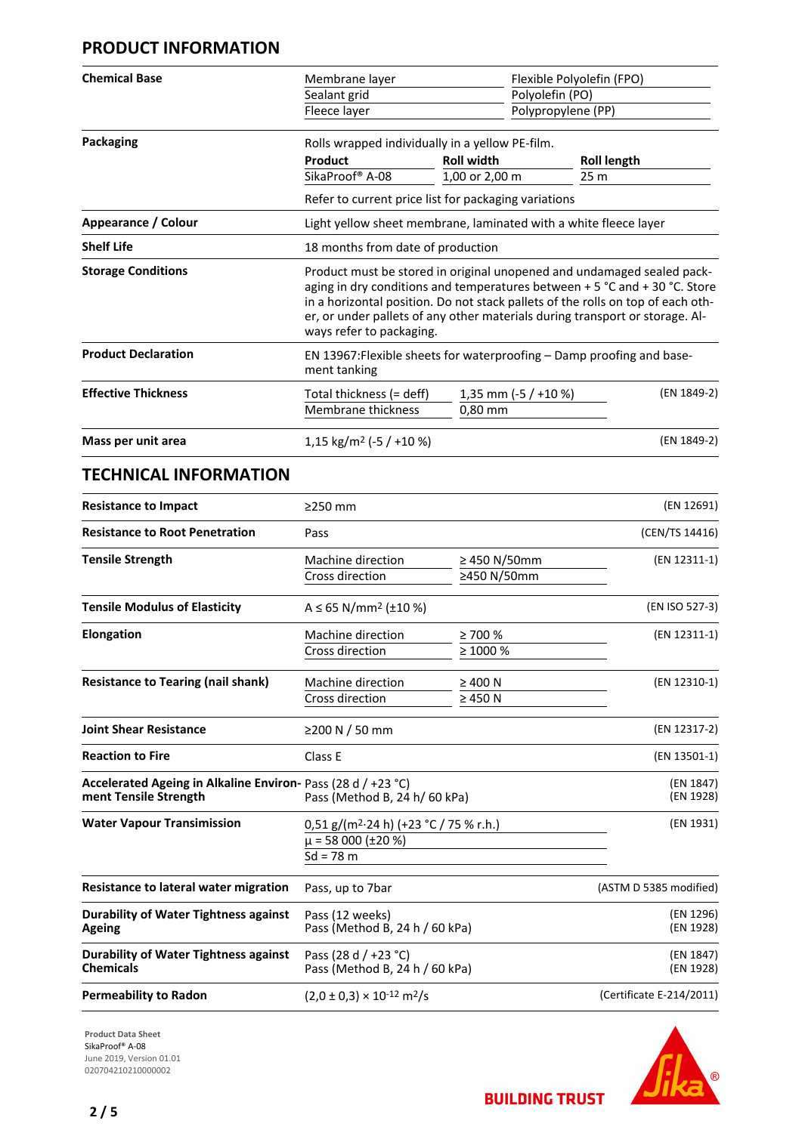# **PRODUCT INFORMATION**

| <b>Chemical Base</b>       | Membrane layer                                                                                                                                                                                                                                                                                                                                      |                                 | Flexible Polyolefin (FPO) |  |
|----------------------------|-----------------------------------------------------------------------------------------------------------------------------------------------------------------------------------------------------------------------------------------------------------------------------------------------------------------------------------------------------|---------------------------------|---------------------------|--|
|                            | Sealant grid                                                                                                                                                                                                                                                                                                                                        |                                 | Polyolefin (PO)           |  |
|                            | Fleece layer                                                                                                                                                                                                                                                                                                                                        |                                 | Polypropylene (PP)        |  |
| Packaging                  | Rolls wrapped individually in a yellow PE-film.                                                                                                                                                                                                                                                                                                     |                                 |                           |  |
|                            | Product                                                                                                                                                                                                                                                                                                                                             | <b>Roll width</b>               | <b>Roll length</b>        |  |
|                            | SikaProof® A-08                                                                                                                                                                                                                                                                                                                                     | 1,00 or 2,00 m                  | 25 <sub>m</sub>           |  |
|                            | Refer to current price list for packaging variations                                                                                                                                                                                                                                                                                                |                                 |                           |  |
| <b>Appearance / Colour</b> | Light yellow sheet membrane, laminated with a white fleece layer                                                                                                                                                                                                                                                                                    |                                 |                           |  |
| <b>Shelf Life</b>          | 18 months from date of production                                                                                                                                                                                                                                                                                                                   |                                 |                           |  |
| <b>Storage Conditions</b>  | Product must be stored in original unopened and undamaged sealed pack-<br>aging in dry conditions and temperatures between + 5 °C and + 30 °C. Store<br>in a horizontal position. Do not stack pallets of the rolls on top of each oth-<br>er, or under pallets of any other materials during transport or storage. Al-<br>ways refer to packaging. |                                 |                           |  |
| <b>Product Declaration</b> | EN 13967: Flexible sheets for waterproofing – Damp proofing and base-<br>ment tanking                                                                                                                                                                                                                                                               |                                 |                           |  |
| <b>Effective Thickness</b> | Total thickness (= deff)<br>Membrane thickness                                                                                                                                                                                                                                                                                                      | 1,35 mm (-5 / +10 %)<br>0,80 mm | (EN 1849-2)               |  |
| Mass per unit area         | 1,15 kg/m <sup>2</sup> (-5 / +10 %)                                                                                                                                                                                                                                                                                                                 |                                 | (EN 1849-2)               |  |

# **TECHNICAL INFORMATION**

| <b>Resistance to Impact</b>                                                                                            | $\geq$ 250 mm                                                                                        |                                  | (EN 12691)               |
|------------------------------------------------------------------------------------------------------------------------|------------------------------------------------------------------------------------------------------|----------------------------------|--------------------------|
| <b>Resistance to Root Penetration</b>                                                                                  | Pass                                                                                                 |                                  | (CEN/TS 14416)           |
| <b>Tensile Strength</b>                                                                                                | Machine direction<br>Cross direction                                                                 | $\geq$ 450 N/50mm<br>≥450 N/50mm | (EN 12311-1)             |
| <b>Tensile Modulus of Elasticity</b>                                                                                   | $A \le 65$ N/mm <sup>2</sup> (±10 %)                                                                 |                                  | (EN ISO 527-3)           |
| <b>Elongation</b>                                                                                                      | Machine direction<br>Cross direction                                                                 | $\geq 700 \%$<br>$\geq 1000 \%$  | (EN 12311-1)             |
| <b>Resistance to Tearing (nail shank)</b>                                                                              | Machine direction<br>Cross direction                                                                 | $\geq 400$ N<br>$\geq$ 450 N     | (EN 12310-1)             |
| <b>Joint Shear Resistance</b>                                                                                          | ≥200 N / 50 mm                                                                                       |                                  | (EN 12317-2)             |
| <b>Reaction to Fire</b>                                                                                                | Class E                                                                                              |                                  | (EN 13501-1)             |
| Accelerated Ageing in Alkaline Environ- Pass (28 d / +23 °C)<br>ment Tensile Strength<br>Pass (Method B, 24 h/ 60 kPa) |                                                                                                      | (EN 1847)<br>(EN 1928)           |                          |
| <b>Water Vapour Transimission</b>                                                                                      | $0,51$ g/(m <sup>2</sup> $\cdot$ 24 h) (+23 °C / 75 % r.h.)<br>$\mu$ = 58 000 (±20 %)<br>$Sd = 78$ m |                                  | (EN 1931)                |
| Resistance to lateral water migration                                                                                  | Pass, up to 7bar                                                                                     |                                  | (ASTM D 5385 modified)   |
| <b>Durability of Water Tightness against</b><br><b>Ageing</b>                                                          | Pass (12 weeks)<br>Pass (Method B, 24 h / 60 kPa)                                                    |                                  | (EN 1296)<br>(EN 1928)   |
| <b>Durability of Water Tightness against</b><br><b>Chemicals</b>                                                       | Pass (28 d / +23 °C)<br>Pass (Method B, 24 h / 60 kPa)                                               |                                  | (EN 1847)<br>(EN 1928)   |
| <b>Permeability to Radon</b>                                                                                           | $(2.0 \pm 0.3) \times 10^{-12}$ m <sup>2</sup> /s                                                    |                                  | (Certificate E-214/2011) |

**Product Data Sheet** SikaProof® A-08 June 2019, Version 01.01 020704210210000002

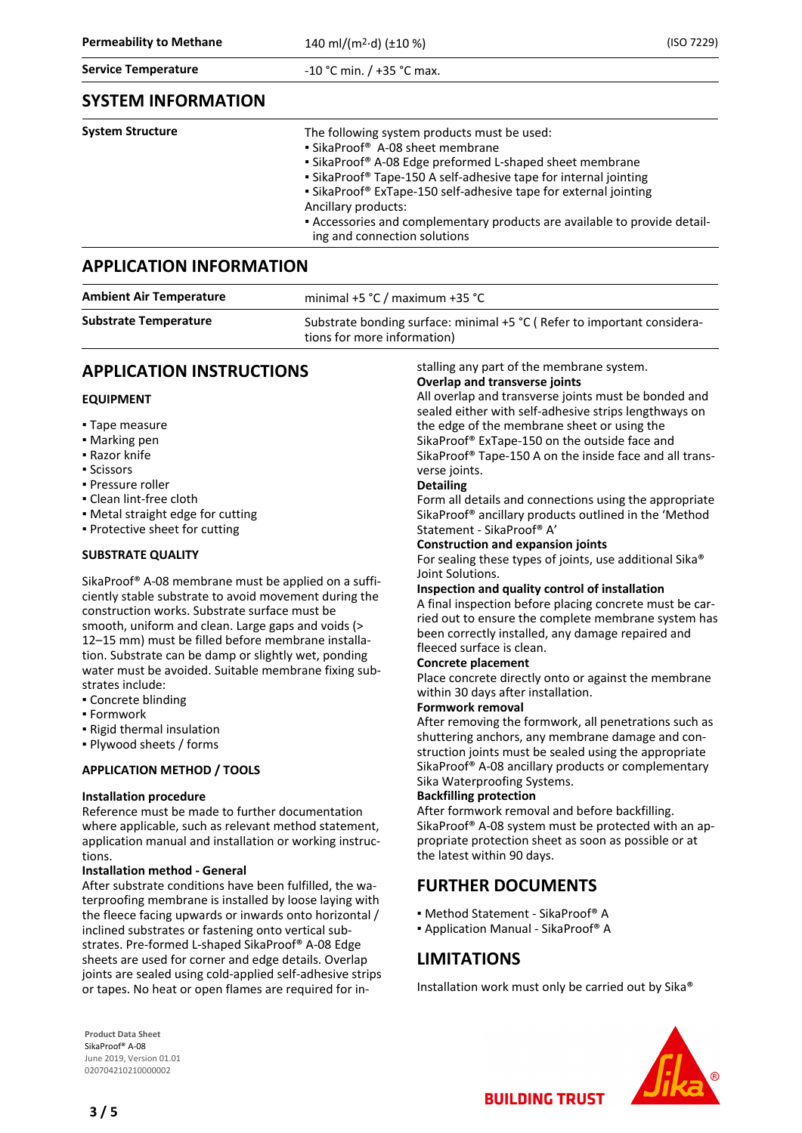#### **Service Temperature Canadian Exercise 2 and Temperature**  $-10$  °C min. / +35 °C max.

## **SYSTEM INFORMATION**

| <b>System Structure</b> | The following system products must be used:<br>• SikaProof <sup>®</sup> A-08 sheet membrane<br>• SikaProof® A-08 Edge preformed L-shaped sheet membrane                 |  |  |
|-------------------------|-------------------------------------------------------------------------------------------------------------------------------------------------------------------------|--|--|
|                         | • SikaProof <sup>®</sup> Tape-150 A self-adhesive tape for internal jointing<br>• SikaProof® ExTape-150 self-adhesive tape for external jointing<br>Ancillary products: |  |  |
|                         | - Accessories and complementary products are available to provide detail-<br>ing and connection solutions                                                               |  |  |

## **APPLICATION INFORMATION**

| <b>Ambient Air Temperature</b> | minimal +5 $°C$ / maximum +35 $°C$                                                                       |
|--------------------------------|----------------------------------------------------------------------------------------------------------|
| <b>Substrate Temperature</b>   | Substrate bonding surface: minimal $+5$ °C (Refer to important considera-<br>tions for more information) |
|                                |                                                                                                          |

# **APPLICATION INSTRUCTIONS**

## **EQUIPMENT**

- Tape measure
- Marking pen
- Razor knife
- Scissors
- Pressure roller
- Clean lint-free cloth
- Metal straight edge for cutting
- Protective sheet for cutting

## **SUBSTRATE QUALITY**

SikaProof® A-08 membrane must be applied on a sufficiently stable substrate to avoid movement during the construction works. Substrate surface must be smooth, uniform and clean. Large gaps and voids (> 12–15 mm) must be filled before membrane installation. Substrate can be damp or slightly wet, ponding water must be avoided. Suitable membrane fixing substrates include:

- Concrete blinding
- Formwork
- Rigid thermal insulation
- Plywood sheets / forms

## **APPLICATION METHOD / TOOLS**

## **Installation procedure**

Reference must be made to further documentation where applicable, such as relevant method statement, application manual and installation or working instructions.

## **Installation method - General**

After substrate conditions have been fulfilled, the waterproofing membrane is installed by loose laying with the fleece facing upwards or inwards onto horizontal / inclined substrates or fastening onto vertical substrates. Pre-formed L-shaped SikaProof® A-08 Edge sheets are used for corner and edge details. Overlap joints are sealed using cold-applied self-adhesive strips or tapes. No heat or open flames are required for in-

**Product Data Sheet** SikaProof® A-08 June 2019, Version 01.01 020704210210000002

stalling any part of the membrane system.

## **Overlap and transverse joints**

All overlap and transverse joints must be bonded and sealed either with self-adhesive strips lengthways on the edge of the membrane sheet or using the SikaProof® ExTape-150 on the outside face and SikaProof® Tape-150 A on the inside face and all transverse joints.

## **Detailing**

Form all details and connections using the appropriate SikaProof® ancillary products outlined in the 'Method Statement - SikaProof® A'

## **Construction and expansion joints**

For sealing these types of joints, use additional Sika® Joint Solutions.

## **Inspection and quality control of installation**

A final inspection before placing concrete must be carried out to ensure the complete membrane system has been correctly installed, any damage repaired and fleeced surface is clean.

## **Concrete placement**

Place concrete directly onto or against the membrane within 30 days after installation.

## **Formwork removal**

After removing the formwork, all penetrations such as shuttering anchors, any membrane damage and construction joints must be sealed using the appropriate SikaProof® A-08 ancillary products or complementary Sika Waterproofing Systems.

## **Backfilling protection**

After formwork removal and before backfilling. SikaProof® A-08 system must be protected with an appropriate protection sheet as soon as possible or at the latest within 90 days.

# **FURTHER DOCUMENTS**

- Method Statement SikaProof® A
- Application Manual SikaProof® A

# **LIMITATIONS**

Installation work must only be carried out by Sika®

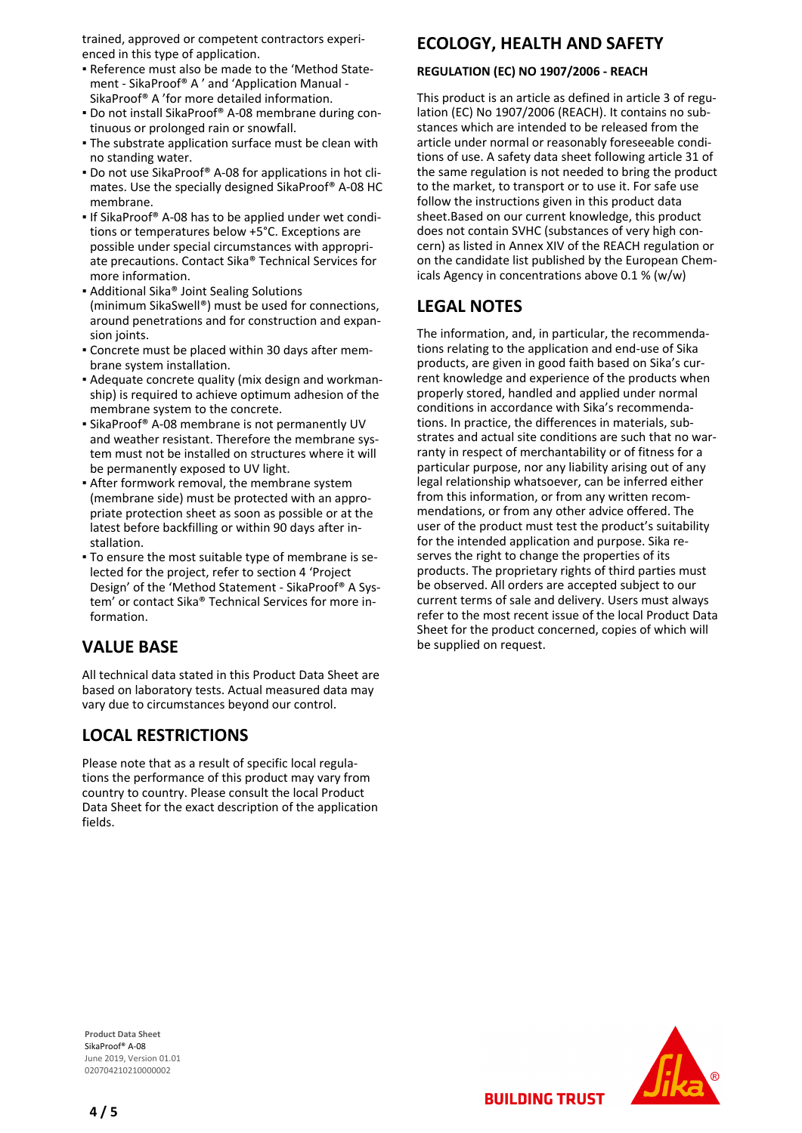trained, approved or competent contractors experienced in this type of application.

- Reference must also be made to the 'Method State-▪ ment - SikaProof® A ' and 'Application Manual - SikaProof® A 'for more detailed information.
- Do not install SikaProof® A-08 membrane during con-▪ tinuous or prolonged rain or snowfall.
- **The substrate application surface must be clean with** no standing water.
- Do not use SikaProof® A-08 for applications in hot cli-▪ mates. Use the specially designed SikaProof® A-08 HC membrane.
- **If SikaProof® A-08 has to be applied under wet condi**tions or temperatures below +5°C. Exceptions are possible under special circumstances with appropriate precautions. Contact Sika® Technical Services for more information.
- Additional Sika® Joint Sealing Solutions (minimum SikaSwell®) must be used for connections, around penetrations and for construction and expansion joints.
- Concrete must be placed within 30 days after mem-▪ brane system installation.
- Adequate concrete quality (mix design and workman-▪ ship) is required to achieve optimum adhesion of the membrane system to the concrete.
- **-** SikaProof® A-08 membrane is not permanently UV and weather resistant. Therefore the membrane system must not be installed on structures where it will be permanently exposed to UV light.
- After formwork removal, the membrane system (membrane side) must be protected with an appropriate protection sheet as soon as possible or at the latest before backfilling or within 90 days after installation.
- To ensure the most suitable type of membrane is se-▪ lected for the project, refer to section 4 'Project Design' of the 'Method Statement - SikaProof® A System' or contact Sika® Technical Services for more information.

# **VALUE BASE**

All technical data stated in this Product Data Sheet are based on laboratory tests. Actual measured data may vary due to circumstances beyond our control.

# **LOCAL RESTRICTIONS**

Please note that as a result of specific local regulations the performance of this product may vary from country to country. Please consult the local Product Data Sheet for the exact description of the application fields.

# **ECOLOGY, HEALTH AND SAFETY**

## **REGULATION (EC) NO 1907/2006 - REACH**

This product is an article as defined in article 3 of regulation (EC) No 1907/2006 (REACH). It contains no substances which are intended to be released from the article under normal or reasonably foreseeable conditions of use. A safety data sheet following article 31 of the same regulation is not needed to bring the product to the market, to transport or to use it. For safe use follow the instructions given in this product data sheet.Based on our current knowledge, this product does not contain SVHC (substances of very high concern) as listed in Annex XIV of the REACH regulation or on the candidate list published by the European Chemicals Agency in concentrations above 0.1 % (w/w)

# **LEGAL NOTES**

The information, and, in particular, the recommendations relating to the application and end-use of Sika products, are given in good faith based on Sika's current knowledge and experience of the products when properly stored, handled and applied under normal conditions in accordance with Sika's recommendations. In practice, the differences in materials, substrates and actual site conditions are such that no warranty in respect of merchantability or of fitness for a particular purpose, nor any liability arising out of any legal relationship whatsoever, can be inferred either from this information, or from any written recommendations, or from any other advice offered. The user of the product must test the product's suitability for the intended application and purpose. Sika reserves the right to change the properties of its products. The proprietary rights of third parties must be observed. All orders are accepted subject to our current terms of sale and delivery. Users must always refer to the most recent issue of the local Product Data Sheet for the product concerned, copies of which will be supplied on request.

**Product Data Sheet** SikaProof® A-08 June 2019, Version 01.01 020704210210000002